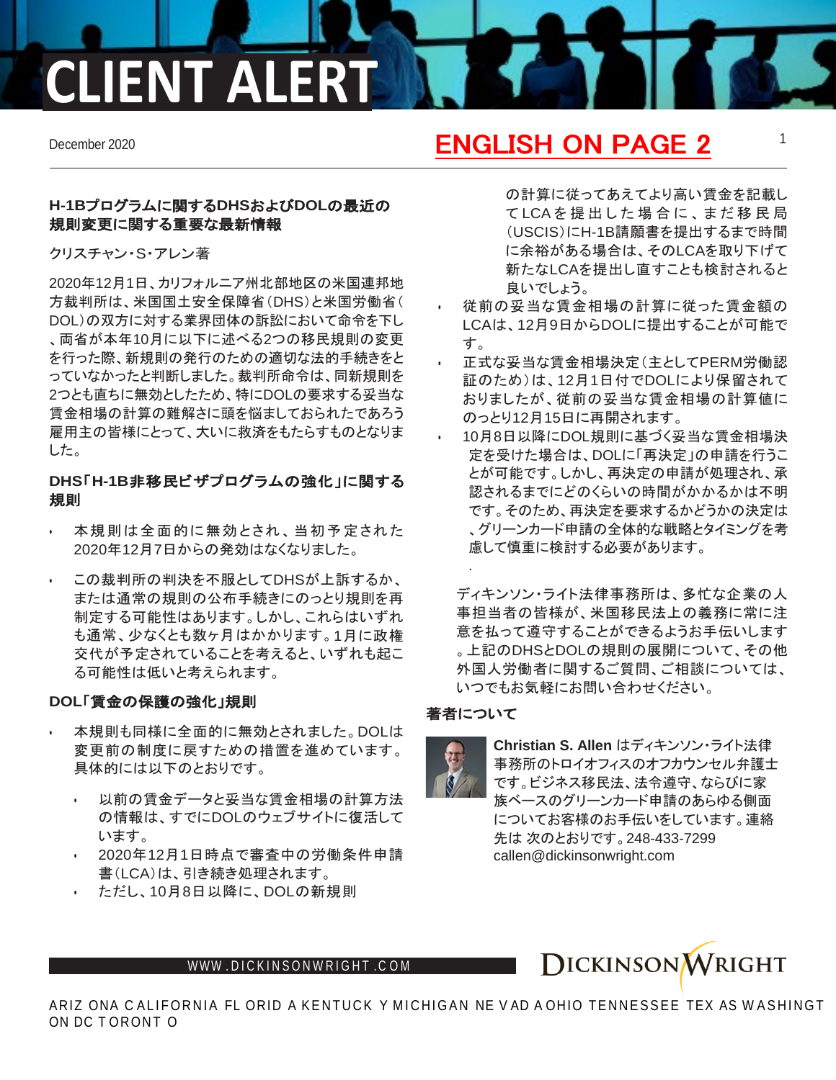# **CLIENT ALERT**

## **H-1B**プログラムに関する**DHS**および**DOL**の最近の 規則変更に関する重要な最新情報

クリスチャン・S・アレン著

2020年12月1日、カリフォルニア州北部地区の米国連邦地 方裁判所は、米国国土安全保障省(DHS)と米国労働省( DOL)の双方に対する業界団体の訴訟において命令を下し 、両省が本年10月に以下に述べる2つの移民規則の変更 を行った際、新規則の発行のための適切な法的手続きをと っていなかったと判断しました。裁判所命令は、同新規則を 2つとも直ちに無効としたため、特にDOLの要求する妥当な 賃金相場の計算の難解さに頭を悩ましておられたであろう 雇用主の皆様にとって、大いに救済をもたらすものとなりま した。

# **DHS**「**H-1B**非移民ビザプログラムの強化」に関する 規則

- 本規則は全面的に無効とされ、当初予定された 2020年12月7日からの発効はなくなりました。
- この裁判所の判決を不服としてDHSが上訴するか、 または通常の規則の公布手続きにのっとり規則を再 制定する可能性はあります。しかし、これらはいずれ も通常、少なくとも数ヶ月はかかります。1月に政権 交代が予定されていることを考えると、いずれも起こ る可能性は低いと考えられます。

# **DOL**「賃金の保護の強化」規則

- 本規則も同様に全面的に無効とされました。DOLは 変更前の制度に戻すための措置を進めています。 具体的には以下のとおりです。
- 以前の賃金データと妥当な賃金相場の計算方法 の情報は、すでにDOLのウェブサイトに復活して います。
- 2020年12月1日時点で審査中の労働条件申請 書(LCA)は、引き続き処理されます。
- ただし、10月8日以降に、DOLの新規則

# December 2020 **1 ENGLISH ON PAGE 2** 1

の計算に従ってあえてより高い賃金を記載し て LCA を 提出し た 場 合 に 、 ま だ 移民局 (USCIS)にH-1B請願書を提出するまで時間 に余裕がある場合は、そのLCAを取り下げて 新たなLCAを提出し直すことも検討されると 良いでしょう。

- 従前の妥当な賃金相場の計算に従った賃金額の LCAは、12月9日からDOLに提出することが可能で す。
- 正式な妥当な賃金相場決定(主としてPERM労働認 証のため)は、12月1日付でDOLにより保留されて おりましたが、従前の妥当な賃金相場の計算値に のっとり12月15日に再開されます。
- 10月8日以降にDOL規則に基づく妥当な賃金相場決 定を受けた場合は、DOLに「再決定」の申請を行うこ とが可能です。しかし、再決定の申請が処理され、承 認されるまでにどのくらいの時間がかかるかは不明 です。そのため、再決定を要求するかどうかの決定は 、グリーンカード申請の全体的な戦略とタイミングを考 慮して慎重に検討する必要があります。

ディキンソン・ライト法律事務所は、多忙な企業の人 事担当者の皆様が、米国移民法上の義務に常に注 意を払って遵守することができるようお手伝いします 。上記のDHSとDOLの規則の展開について、その他 外国人労働者に関するご質問、ご相談については、 いつでもお気軽にお問い合わせください。

# 著者について

.



**Christian S. Allen** はディキンソン・ライト法律 事務所のトロイオフィスのオフカウンセル弁護士 です。ビジネス移民法、法令遵守、ならびに家 族ベースのグリーンカード申請のあらゆる側面 についてお客様のお手伝いをしています。連絡 先は 次のとおりです。248-433-7299 callen@dickinsonwright.com



ARIZ ONA C ALIFORNIA FL ORID A KENTUCK Y MICHIGAN NE V AD A OHIO TENNESSEE TEX AS W ASHINGT ON DC T ORONT O

### WWW[.DICKINSONWRIGHT](http://www.dickinsonwright.com/).COM